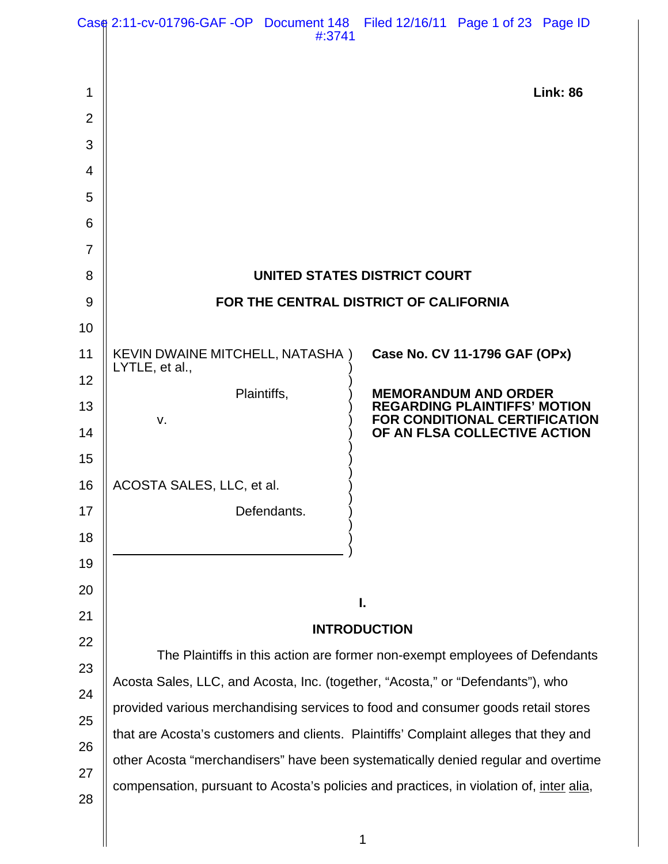|                | Case 2:11-cv-01796-GAF-OP Document 148 Filed 12/16/11 Page 1 of 23 Page ID<br>#:3741                                                                                         |                                                                                      |  |
|----------------|------------------------------------------------------------------------------------------------------------------------------------------------------------------------------|--------------------------------------------------------------------------------------|--|
|                |                                                                                                                                                                              |                                                                                      |  |
| 1              |                                                                                                                                                                              | <b>Link: 86</b>                                                                      |  |
| $\overline{2}$ |                                                                                                                                                                              |                                                                                      |  |
| 3              |                                                                                                                                                                              |                                                                                      |  |
| 4              |                                                                                                                                                                              |                                                                                      |  |
| 5              |                                                                                                                                                                              |                                                                                      |  |
| 6              |                                                                                                                                                                              |                                                                                      |  |
| $\overline{7}$ |                                                                                                                                                                              |                                                                                      |  |
| 8              | UNITED STATES DISTRICT COURT                                                                                                                                                 |                                                                                      |  |
| 9              | FOR THE CENTRAL DISTRICT OF CALIFORNIA                                                                                                                                       |                                                                                      |  |
| 10             |                                                                                                                                                                              |                                                                                      |  |
| 11             | <b>KEVIN DWAINE MITCHELL, NATASHA)</b><br>LYTLE, et al.,                                                                                                                     | Case No. CV 11-1796 GAF (OPx)                                                        |  |
| 12             | Plaintiffs,                                                                                                                                                                  | <b>MEMORANDUM AND ORDER</b>                                                          |  |
| 13             | v.                                                                                                                                                                           | <b>REGARDING PLAINTIFFS' MOTION</b><br>FOR CONDITIONAL CERTIFICATION                 |  |
| 14<br>15       |                                                                                                                                                                              | OF AN FLSA COLLECTIVE ACTION                                                         |  |
| 16             | ACOSTA SALES, LLC, et al.                                                                                                                                                    |                                                                                      |  |
| 17             | Defendants.                                                                                                                                                                  |                                                                                      |  |
| 18             |                                                                                                                                                                              |                                                                                      |  |
| 19             |                                                                                                                                                                              |                                                                                      |  |
| 20             |                                                                                                                                                                              |                                                                                      |  |
| 21             | I.                                                                                                                                                                           |                                                                                      |  |
| 22             | <b>INTRODUCTION</b>                                                                                                                                                          |                                                                                      |  |
| 23             |                                                                                                                                                                              | The Plaintiffs in this action are former non-exempt employees of Defendants          |  |
| 24             | Acosta Sales, LLC, and Acosta, Inc. (together, "Acosta," or "Defendants"), who<br>provided various merchandising services to food and consumer goods retail stores           |                                                                                      |  |
| 25             |                                                                                                                                                                              |                                                                                      |  |
| 26             |                                                                                                                                                                              | that are Acosta's customers and clients. Plaintiffs' Complaint alleges that they and |  |
| 27             | other Acosta "merchandisers" have been systematically denied regular and overtime<br>compensation, pursuant to Acosta's policies and practices, in violation of, inter alia, |                                                                                      |  |
| 28             |                                                                                                                                                                              |                                                                                      |  |
|                |                                                                                                                                                                              |                                                                                      |  |
|                |                                                                                                                                                                              | 1                                                                                    |  |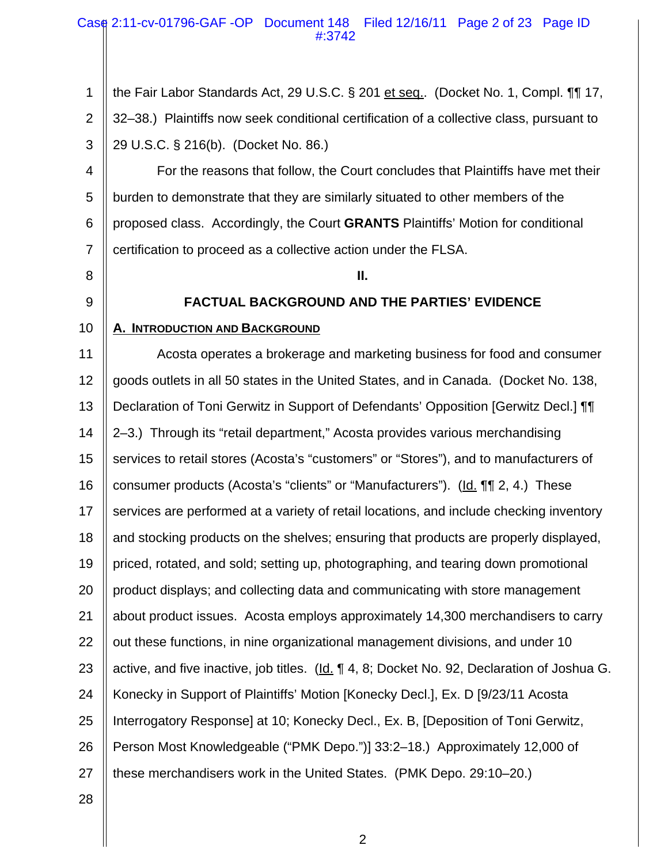#### Case 2:11-cv-01796-GAF -OP Document 148 Filed 12/16/11 Page 2 of 23 Page ID #:3742

1 2 3 the Fair Labor Standards Act, 29 U.S.C. § 201 et seq.. (Docket No. 1, Compl. ¶¶ 17, 32–38.) Plaintiffs now seek conditional certification of a collective class, pursuant to 29 U.S.C. § 216(b). (Docket No. 86.)

4 5 6 7 For the reasons that follow, the Court concludes that Plaintiffs have met their burden to demonstrate that they are similarly situated to other members of the proposed class. Accordingly, the Court **GRANTS** Plaintiffs' Motion for conditional certification to proceed as a collective action under the FLSA.

- 8
- 9

**II.**

# **FACTUAL BACKGROUND AND THE PARTIES' EVIDENCE**

#### 10 **A. INTRODUCTION AND BACKGROUND**

11 12 13 14 15 16 17 18 19 20 21 22 23 24 25 26 27 Acosta operates a brokerage and marketing business for food and consumer goods outlets in all 50 states in the United States, and in Canada. (Docket No. 138, Declaration of Toni Gerwitz in Support of Defendants' Opposition [Gerwitz Decl.] ¶¶ 2–3.) Through its "retail department," Acosta provides various merchandising services to retail stores (Acosta's "customers" or "Stores"), and to manufacturers of consumer products (Acosta's "clients" or "Manufacturers"). (Id. ¶¶ 2, 4.) These services are performed at a variety of retail locations, and include checking inventory and stocking products on the shelves; ensuring that products are properly displayed, priced, rotated, and sold; setting up, photographing, and tearing down promotional product displays; and collecting data and communicating with store management about product issues. Acosta employs approximately 14,300 merchandisers to carry out these functions, in nine organizational management divisions, and under 10 active, and five inactive, job titles. (Id. 14, 8; Docket No. 92, Declaration of Joshua G. Konecky in Support of Plaintiffs' Motion [Konecky Decl.], Ex. D [9/23/11 Acosta Interrogatory Response] at 10; Konecky Decl., Ex. B, [Deposition of Toni Gerwitz, Person Most Knowledgeable ("PMK Depo.")] 33:2–18.) Approximately 12,000 of these merchandisers work in the United States. (PMK Depo. 29:10–20.)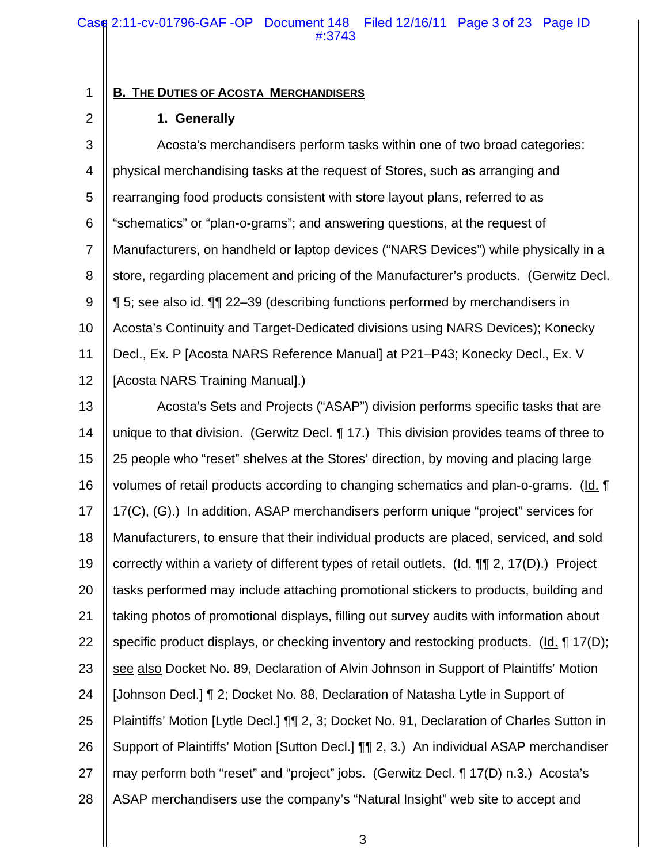## **B. THE DUTIES OF ACOSTA MERCHANDISERS**

#### **1. Generally**

1

2

3 4 5 6 7 8 9 10 11 12 Acosta's merchandisers perform tasks within one of two broad categories: physical merchandising tasks at the request of Stores, such as arranging and rearranging food products consistent with store layout plans, referred to as "schematics" or "plan-o-grams"; and answering questions, at the request of Manufacturers, on handheld or laptop devices ("NARS Devices") while physically in a store, regarding placement and pricing of the Manufacturer's products. (Gerwitz Decl. ¶ 5; see also id. ¶¶ 22–39 (describing functions performed by merchandisers in Acosta's Continuity and Target-Dedicated divisions using NARS Devices); Konecky Decl., Ex. P [Acosta NARS Reference Manual] at P21–P43; Konecky Decl., Ex. V [Acosta NARS Training Manual].)

13 14 15 16 17 18 19 20 21 22 23 24 25 26 27 28 Acosta's Sets and Projects ("ASAP") division performs specific tasks that are unique to that division. (Gerwitz Decl. ¶ 17.) This division provides teams of three to 25 people who "reset" shelves at the Stores' direction, by moving and placing large volumes of retail products according to changing schematics and plan-o-grams. (Id. ¶ 17(C), (G).) In addition, ASAP merchandisers perform unique "project" services for Manufacturers, to ensure that their individual products are placed, serviced, and sold correctly within a variety of different types of retail outlets. (Id. ¶¶ 2, 17(D).) Project tasks performed may include attaching promotional stickers to products, building and taking photos of promotional displays, filling out survey audits with information about specific product displays, or checking inventory and restocking products. (Id. ¶ 17(D); see also Docket No. 89, Declaration of Alvin Johnson in Support of Plaintiffs' Motion [Johnson Decl.] ¶ 2; Docket No. 88, Declaration of Natasha Lytle in Support of Plaintiffs' Motion [Lytle Decl.] ¶¶ 2, 3; Docket No. 91, Declaration of Charles Sutton in Support of Plaintiffs' Motion [Sutton Decl.] ¶¶ 2, 3.) An individual ASAP merchandiser may perform both "reset" and "project" jobs. (Gerwitz Decl. ¶ 17(D) n.3.) Acosta's ASAP merchandisers use the company's "Natural Insight" web site to accept and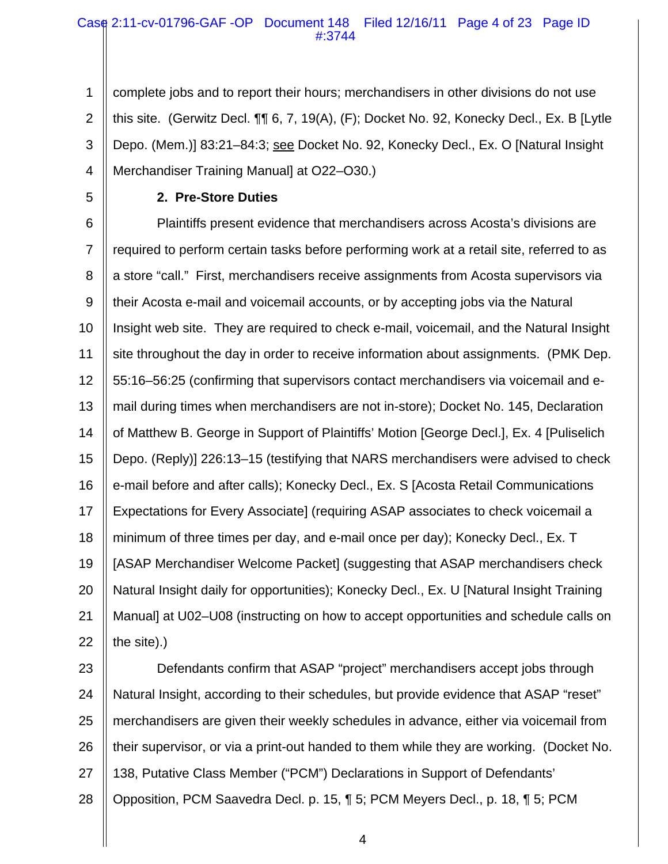## Case 2:11-cv-01796-GAF -OP Document 148 Filed 12/16/11 Page 4 of 23 Page ID #:3744

1 2 3 4 complete jobs and to report their hours; merchandisers in other divisions do not use this site. (Gerwitz Decl. ¶¶ 6, 7, 19(A), (F); Docket No. 92, Konecky Decl., Ex. B [Lytle Depo. (Mem.)] 83:21–84:3; see Docket No. 92, Konecky Decl., Ex. O [Natural Insight Merchandiser Training Manual] at O22–O30.)

5

# **2. Pre-Store Duties**

6 7 8 9 10 11 12 13 14 15 16 17 18 19 20 21 22 Plaintiffs present evidence that merchandisers across Acosta's divisions are required to perform certain tasks before performing work at a retail site, referred to as a store "call." First, merchandisers receive assignments from Acosta supervisors via their Acosta e-mail and voicemail accounts, or by accepting jobs via the Natural Insight web site. They are required to check e-mail, voicemail, and the Natural Insight site throughout the day in order to receive information about assignments. (PMK Dep. 55:16–56:25 (confirming that supervisors contact merchandisers via voicemail and email during times when merchandisers are not in-store); Docket No. 145, Declaration of Matthew B. George in Support of Plaintiffs' Motion [George Decl.], Ex. 4 [Puliselich Depo. (Reply)] 226:13–15 (testifying that NARS merchandisers were advised to check e-mail before and after calls); Konecky Decl., Ex. S [Acosta Retail Communications Expectations for Every Associate] (requiring ASAP associates to check voicemail a minimum of three times per day, and e-mail once per day); Konecky Decl., Ex. T [ASAP Merchandiser Welcome Packet] (suggesting that ASAP merchandisers check Natural Insight daily for opportunities); Konecky Decl., Ex. U [Natural Insight Training Manual] at U02–U08 (instructing on how to accept opportunities and schedule calls on the site).)

23 24 25 26 27 28 Defendants confirm that ASAP "project" merchandisers accept jobs through Natural Insight, according to their schedules, but provide evidence that ASAP "reset" merchandisers are given their weekly schedules in advance, either via voicemail from their supervisor, or via a print-out handed to them while they are working. (Docket No. 138, Putative Class Member ("PCM") Declarations in Support of Defendants' Opposition, PCM Saavedra Decl. p. 15, ¶ 5; PCM Meyers Decl., p. 18, ¶ 5; PCM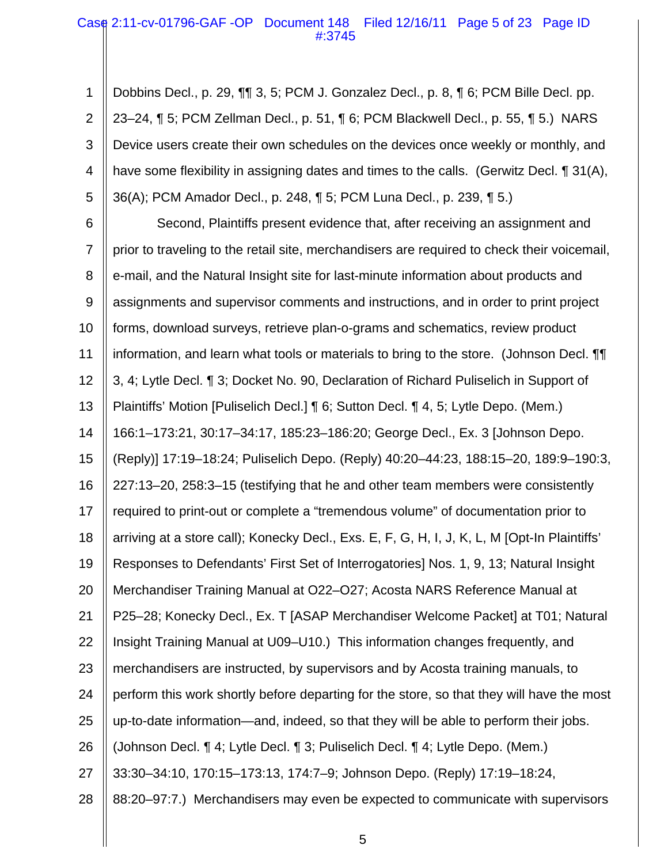## Case 2:11-cv-01796-GAF -OP Document 148 Filed 12/16/11 Page 5 of 23 Page ID #:3745

1 2 3 4 5 Dobbins Decl., p. 29, ¶¶ 3, 5; PCM J. Gonzalez Decl., p. 8, ¶ 6; PCM Bille Decl. pp. 23–24, ¶ 5; PCM Zellman Decl., p. 51, ¶ 6; PCM Blackwell Decl., p. 55, ¶ 5.) NARS Device users create their own schedules on the devices once weekly or monthly, and have some flexibility in assigning dates and times to the calls. (Gerwitz Decl. ¶ 31(A), 36(A); PCM Amador Decl., p. 248, ¶ 5; PCM Luna Decl., p. 239, ¶ 5.)

6 7 8 9 10 11 12 13 14 15 16 17 18 19 20 21 22 23 24 25 26 27 28 Second, Plaintiffs present evidence that, after receiving an assignment and prior to traveling to the retail site, merchandisers are required to check their voicemail, e-mail, and the Natural Insight site for last-minute information about products and assignments and supervisor comments and instructions, and in order to print project forms, download surveys, retrieve plan-o-grams and schematics, review product information, and learn what tools or materials to bring to the store. (Johnson Decl. ¶¶ 3, 4; Lytle Decl. ¶ 3; Docket No. 90, Declaration of Richard Puliselich in Support of Plaintiffs' Motion [Puliselich Decl.] ¶ 6; Sutton Decl. ¶ 4, 5; Lytle Depo. (Mem.) 166:1–173:21, 30:17–34:17, 185:23–186:20; George Decl., Ex. 3 [Johnson Depo. (Reply)] 17:19–18:24; Puliselich Depo. (Reply) 40:20–44:23, 188:15–20, 189:9–190:3, 227:13–20, 258:3–15 (testifying that he and other team members were consistently required to print-out or complete a "tremendous volume" of documentation prior to arriving at a store call); Konecky Decl., Exs. E, F, G, H, I, J, K, L, M [Opt-In Plaintiffs' Responses to Defendants' First Set of Interrogatories] Nos. 1, 9, 13; Natural Insight Merchandiser Training Manual at O22–O27; Acosta NARS Reference Manual at P25–28; Konecky Decl., Ex. T [ASAP Merchandiser Welcome Packet] at T01; Natural Insight Training Manual at U09–U10.) This information changes frequently, and merchandisers are instructed, by supervisors and by Acosta training manuals, to perform this work shortly before departing for the store, so that they will have the most up-to-date information—and, indeed, so that they will be able to perform their jobs. (Johnson Decl. ¶ 4; Lytle Decl. ¶ 3; Puliselich Decl. ¶ 4; Lytle Depo. (Mem.) 33:30–34:10, 170:15–173:13, 174:7–9; Johnson Depo. (Reply) 17:19–18:24, 88:20–97:7.) Merchandisers may even be expected to communicate with supervisors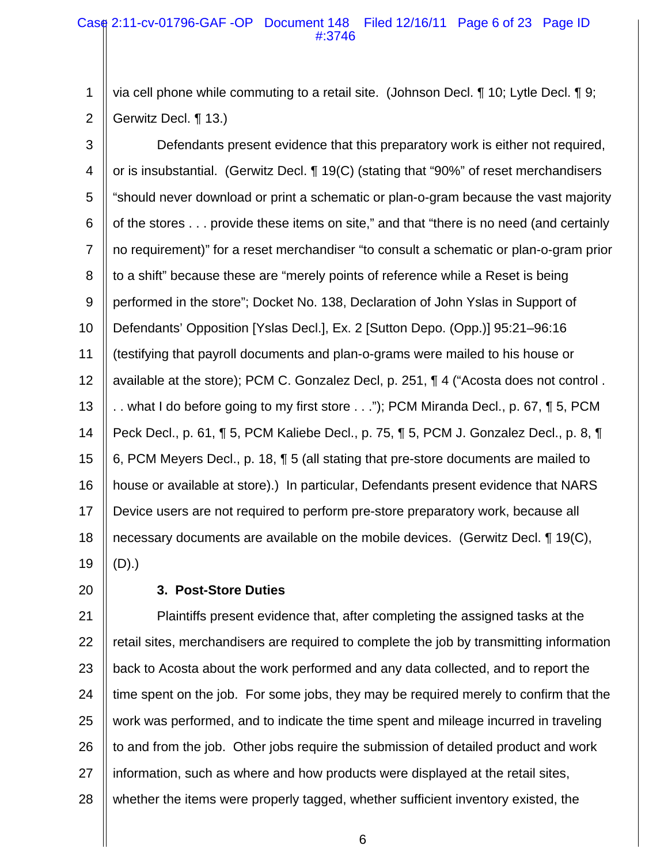## Case 2:11-cv-01796-GAF -OP Document 148 Filed 12/16/11 Page 6 of 23 Page ID #:3746

1 2 via cell phone while commuting to a retail site. (Johnson Decl. ¶ 10; Lytle Decl. ¶ 9; Gerwitz Decl. ¶ 13.)

3 4 5 6 7 8 9 10 11 12 13 14 15 16 17 18 19 Defendants present evidence that this preparatory work is either not required, or is insubstantial. (Gerwitz Decl. ¶ 19(C) (stating that "90%" of reset merchandisers "should never download or print a schematic or plan-o-gram because the vast majority of the stores . . . provide these items on site," and that "there is no need (and certainly no requirement)" for a reset merchandiser "to consult a schematic or plan-o-gram prior to a shift" because these are "merely points of reference while a Reset is being performed in the store"; Docket No. 138, Declaration of John Yslas in Support of Defendants' Opposition [Yslas Decl.], Ex. 2 [Sutton Depo. (Opp.)] 95:21–96:16 (testifying that payroll documents and plan-o-grams were mailed to his house or available at the store); PCM C. Gonzalez Decl, p. 251, ¶ 4 ("Acosta does not control . .. what I do before going to my first store ..."); PCM Miranda Decl., p. 67, ¶ 5, PCM Peck Decl., p. 61, ¶ 5, PCM Kaliebe Decl., p. 75, ¶ 5, PCM J. Gonzalez Decl., p. 8, ¶ 6, PCM Meyers Decl., p. 18, ¶ 5 (all stating that pre-store documents are mailed to house or available at store).) In particular, Defendants present evidence that NARS Device users are not required to perform pre-store preparatory work, because all necessary documents are available on the mobile devices. (Gerwitz Decl. ¶ 19(C), (D).)

20

# **3. Post-Store Duties**

21 22 23 24 25 26 27 28 Plaintiffs present evidence that, after completing the assigned tasks at the retail sites, merchandisers are required to complete the job by transmitting information back to Acosta about the work performed and any data collected, and to report the time spent on the job. For some jobs, they may be required merely to confirm that the work was performed, and to indicate the time spent and mileage incurred in traveling to and from the job. Other jobs require the submission of detailed product and work information, such as where and how products were displayed at the retail sites, whether the items were properly tagged, whether sufficient inventory existed, the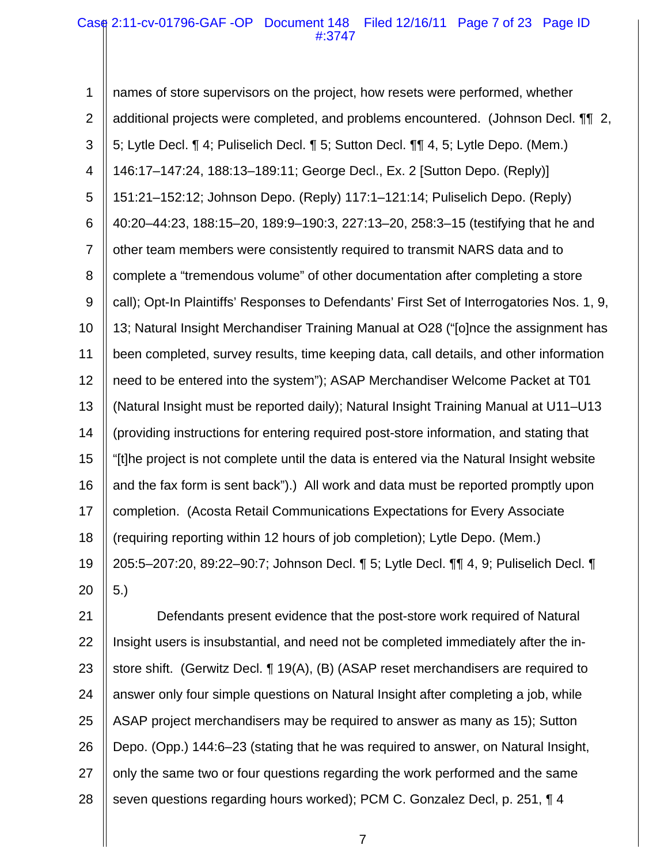## Case 2:11-cv-01796-GAF -OP Document 148 Filed 12/16/11 Page 7 of 23 Page ID #:3747

1 2 3 4 5 6 7 8 9 10 11 12 13 14 15 16 17 18 19 20 names of store supervisors on the project, how resets were performed, whether additional projects were completed, and problems encountered. (Johnson Decl. ¶¶ 2, 5; Lytle Decl. ¶ 4; Puliselich Decl. ¶ 5; Sutton Decl. ¶¶ 4, 5; Lytle Depo. (Mem.) 146:17–147:24, 188:13–189:11; George Decl., Ex. 2 [Sutton Depo. (Reply)] 151:21–152:12; Johnson Depo. (Reply) 117:1–121:14; Puliselich Depo. (Reply) 40:20–44:23, 188:15–20, 189:9–190:3, 227:13–20, 258:3–15 (testifying that he and other team members were consistently required to transmit NARS data and to complete a "tremendous volume" of other documentation after completing a store call); Opt-In Plaintiffs' Responses to Defendants' First Set of Interrogatories Nos. 1, 9, 13; Natural Insight Merchandiser Training Manual at O28 ("[o]nce the assignment has been completed, survey results, time keeping data, call details, and other information need to be entered into the system"); ASAP Merchandiser Welcome Packet at T01 (Natural Insight must be reported daily); Natural Insight Training Manual at U11–U13 (providing instructions for entering required post-store information, and stating that "[t]he project is not complete until the data is entered via the Natural Insight website and the fax form is sent back").) All work and data must be reported promptly upon completion. (Acosta Retail Communications Expectations for Every Associate (requiring reporting within 12 hours of job completion); Lytle Depo. (Mem.) 205:5–207:20, 89:22–90:7; Johnson Decl. ¶ 5; Lytle Decl. ¶¶ 4, 9; Puliselich Decl. ¶ 5.)

21 22 23 24 25 26 27 28 Defendants present evidence that the post-store work required of Natural Insight users is insubstantial, and need not be completed immediately after the instore shift. (Gerwitz Decl. ¶ 19(A), (B) (ASAP reset merchandisers are required to answer only four simple questions on Natural Insight after completing a job, while ASAP project merchandisers may be required to answer as many as 15); Sutton Depo. (Opp.) 144:6–23 (stating that he was required to answer, on Natural Insight, only the same two or four questions regarding the work performed and the same seven questions regarding hours worked); PCM C. Gonzalez Decl, p. 251, ¶ 4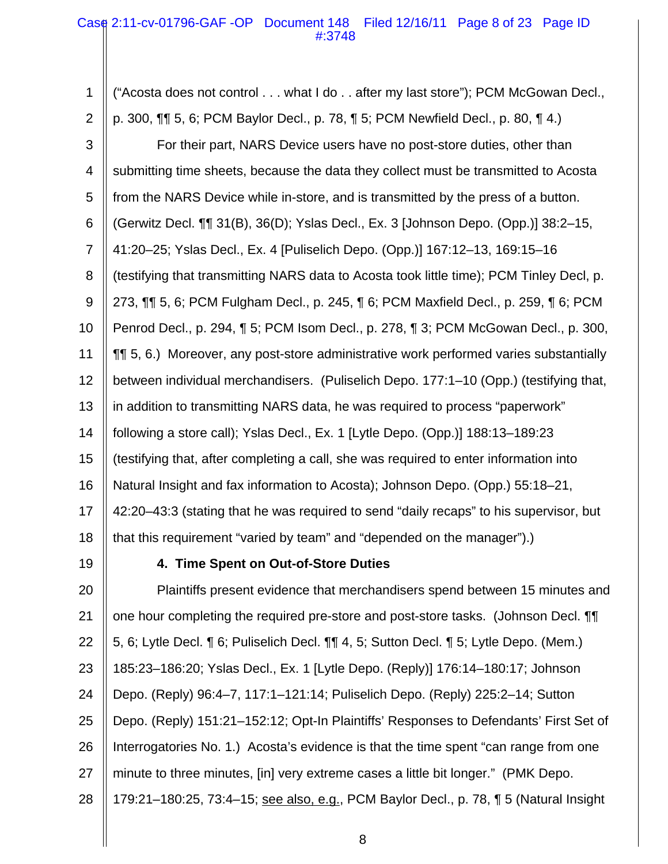## Case 2:11-cv-01796-GAF -OP Document 148 Filed 12/16/11 Page 8 of 23 Page ID #:3748

1 2 3 4 5 6 7 8 9 10 11 12 13 14 15 16 17 18 ("Acosta does not control . . . what I do . . after my last store"); PCM McGowan Decl., p. 300, ¶¶ 5, 6; PCM Baylor Decl., p. 78, ¶ 5; PCM Newfield Decl., p. 80, ¶ 4.) For their part, NARS Device users have no post-store duties, other than submitting time sheets, because the data they collect must be transmitted to Acosta from the NARS Device while in-store, and is transmitted by the press of a button. (Gerwitz Decl. ¶¶ 31(B), 36(D); Yslas Decl., Ex. 3 [Johnson Depo. (Opp.)] 38:2–15, 41:20–25; Yslas Decl., Ex. 4 [Puliselich Depo. (Opp.)] 167:12–13, 169:15–16 (testifying that transmitting NARS data to Acosta took little time); PCM Tinley Decl, p. 273, ¶¶ 5, 6; PCM Fulgham Decl., p. 245, ¶ 6; PCM Maxfield Decl., p. 259, ¶ 6; PCM Penrod Decl., p. 294, ¶ 5; PCM Isom Decl., p. 278, ¶ 3; PCM McGowan Decl., p. 300, ¶¶ 5, 6.) Moreover, any post-store administrative work performed varies substantially between individual merchandisers. (Puliselich Depo. 177:1–10 (Opp.) (testifying that, in addition to transmitting NARS data, he was required to process "paperwork" following a store call); Yslas Decl., Ex. 1 [Lytle Depo. (Opp.)] 188:13–189:23 (testifying that, after completing a call, she was required to enter information into Natural Insight and fax information to Acosta); Johnson Depo. (Opp.) 55:18–21, 42:20–43:3 (stating that he was required to send "daily recaps" to his supervisor, but that this requirement "varied by team" and "depended on the manager").)

19

## **4. Time Spent on Out-of-Store Duties**

20 21 22 23 24 25 26 27 28 Plaintiffs present evidence that merchandisers spend between 15 minutes and one hour completing the required pre-store and post-store tasks. (Johnson Decl. ¶¶ 5, 6; Lytle Decl. ¶ 6; Puliselich Decl. ¶¶ 4, 5; Sutton Decl. ¶ 5; Lytle Depo. (Mem.) 185:23–186:20; Yslas Decl., Ex. 1 [Lytle Depo. (Reply)] 176:14–180:17; Johnson Depo. (Reply) 96:4–7, 117:1–121:14; Puliselich Depo. (Reply) 225:2–14; Sutton Depo. (Reply) 151:21–152:12; Opt-In Plaintiffs' Responses to Defendants' First Set of Interrogatories No. 1.) Acosta's evidence is that the time spent "can range from one minute to three minutes, [in] very extreme cases a little bit longer." (PMK Depo. 179:21–180:25, 73:4–15; see also, e.g., PCM Baylor Decl., p. 78, ¶ 5 (Natural Insight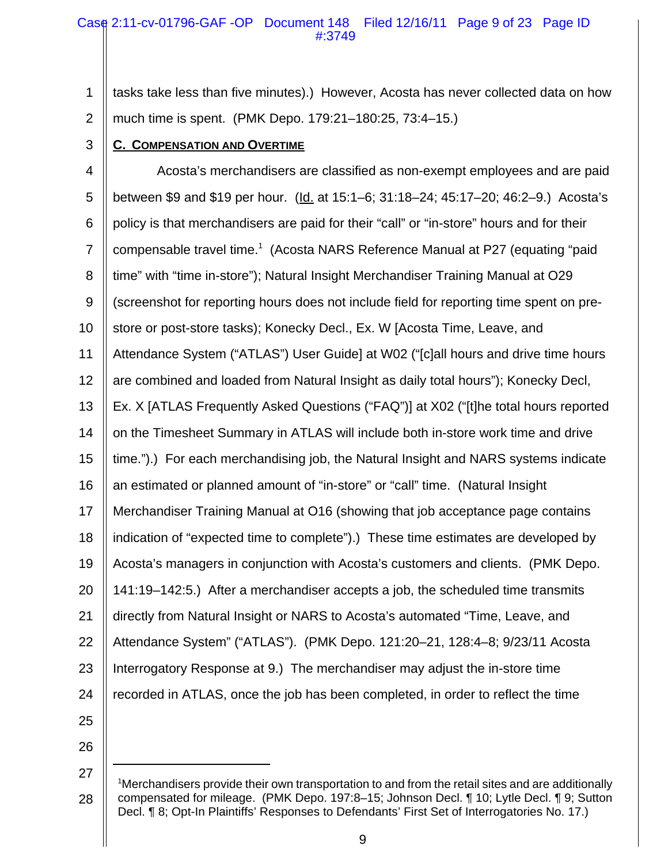## Case 2:11-cv-01796-GAF -OP Document 148 Filed 12/16/11 Page 9 of 23 Page ID #:3749

1 2 tasks take less than five minutes).) However, Acosta has never collected data on how much time is spent. (PMK Depo. 179:21–180:25, 73:4–15.)

3

# **C. COMPENSATION AND OVERTIME**

4 5 6 7 8 9 10 11 12 13 14 15 16 17 18 19 20 21 22 23 24 25 Acosta's merchandisers are classified as non-exempt employees and are paid between \$9 and \$19 per hour. (Id. at 15:1–6; 31:18–24; 45:17–20; 46:2–9.) Acosta's policy is that merchandisers are paid for their "call" or "in-store" hours and for their compensable travel time.<sup>1</sup> (Acosta NARS Reference Manual at P27 (equating "paid time" with "time in-store"); Natural Insight Merchandiser Training Manual at O29 (screenshot for reporting hours does not include field for reporting time spent on prestore or post-store tasks); Konecky Decl., Ex. W [Acosta Time, Leave, and Attendance System ("ATLAS") User Guide] at W02 ("[c]all hours and drive time hours are combined and loaded from Natural Insight as daily total hours"); Konecky Decl, Ex. X [ATLAS Frequently Asked Questions ("FAQ")] at X02 ("[t]he total hours reported on the Timesheet Summary in ATLAS will include both in-store work time and drive time.").) For each merchandising job, the Natural Insight and NARS systems indicate an estimated or planned amount of "in-store" or "call" time. (Natural Insight Merchandiser Training Manual at O16 (showing that job acceptance page contains indication of "expected time to complete").) These time estimates are developed by Acosta's managers in conjunction with Acosta's customers and clients. (PMK Depo. 141:19–142:5.) After a merchandiser accepts a job, the scheduled time transmits directly from Natural Insight or NARS to Acosta's automated "Time, Leave, and Attendance System" ("ATLAS"). (PMK Depo. 121:20–21, 128:4–8; 9/23/11 Acosta Interrogatory Response at 9.) The merchandiser may adjust the in-store time recorded in ATLAS, once the job has been completed, in order to reflect the time

26

<sup>28</sup> <sup>1</sup>Merchandisers provide their own transportation to and from the retail sites and are additionally compensated for mileage. (PMK Depo. 197:8–15; Johnson Decl. ¶ 10; Lytle Decl. ¶ 9; Sutton Decl. ¶ 8; Opt-In Plaintiffs' Responses to Defendants' First Set of Interrogatories No. 17.)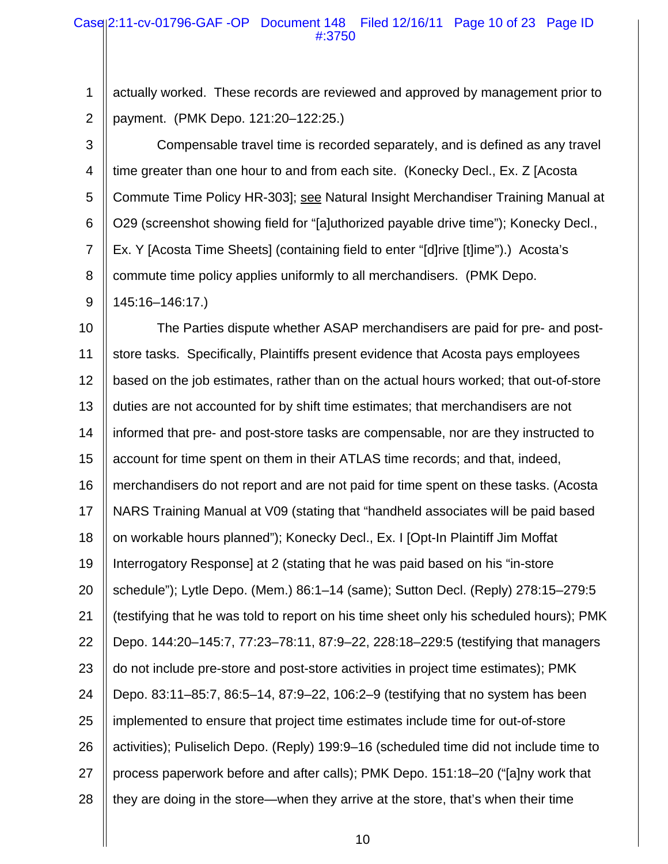## Case 2:11-cv-01796-GAF -OP Document 148 Filed 12/16/11 Page 10 of 23 Page ID #:3750

1 2 actually worked. These records are reviewed and approved by management prior to payment. (PMK Depo. 121:20–122:25.)

3 4 5 6 7 8 9 Compensable travel time is recorded separately, and is defined as any travel time greater than one hour to and from each site. (Konecky Decl., Ex. Z [Acosta Commute Time Policy HR-303]; see Natural Insight Merchandiser Training Manual at O29 (screenshot showing field for "[a]uthorized payable drive time"); Konecky Decl., Ex. Y [Acosta Time Sheets] (containing field to enter "[d]rive [t]ime").) Acosta's commute time policy applies uniformly to all merchandisers. (PMK Depo. 145:16–146:17.)

10 11 12 13 14 15 16 17 18 19 20 21 22 23 24 25 26 27 28 The Parties dispute whether ASAP merchandisers are paid for pre- and poststore tasks. Specifically, Plaintiffs present evidence that Acosta pays employees based on the job estimates, rather than on the actual hours worked; that out-of-store duties are not accounted for by shift time estimates; that merchandisers are not informed that pre- and post-store tasks are compensable, nor are they instructed to account for time spent on them in their ATLAS time records; and that, indeed, merchandisers do not report and are not paid for time spent on these tasks. (Acosta NARS Training Manual at V09 (stating that "handheld associates will be paid based on workable hours planned"); Konecky Decl., Ex. I [Opt-In Plaintiff Jim Moffat Interrogatory Response] at 2 (stating that he was paid based on his "in-store schedule"); Lytle Depo. (Mem.) 86:1–14 (same); Sutton Decl. (Reply) 278:15–279:5 (testifying that he was told to report on his time sheet only his scheduled hours); PMK Depo. 144:20–145:7, 77:23–78:11, 87:9–22, 228:18–229:5 (testifying that managers do not include pre-store and post-store activities in project time estimates); PMK Depo. 83:11–85:7, 86:5–14, 87:9–22, 106:2–9 (testifying that no system has been implemented to ensure that project time estimates include time for out-of-store activities); Puliselich Depo. (Reply) 199:9–16 (scheduled time did not include time to process paperwork before and after calls); PMK Depo. 151:18–20 ("[a]ny work that they are doing in the store—when they arrive at the store, that's when their time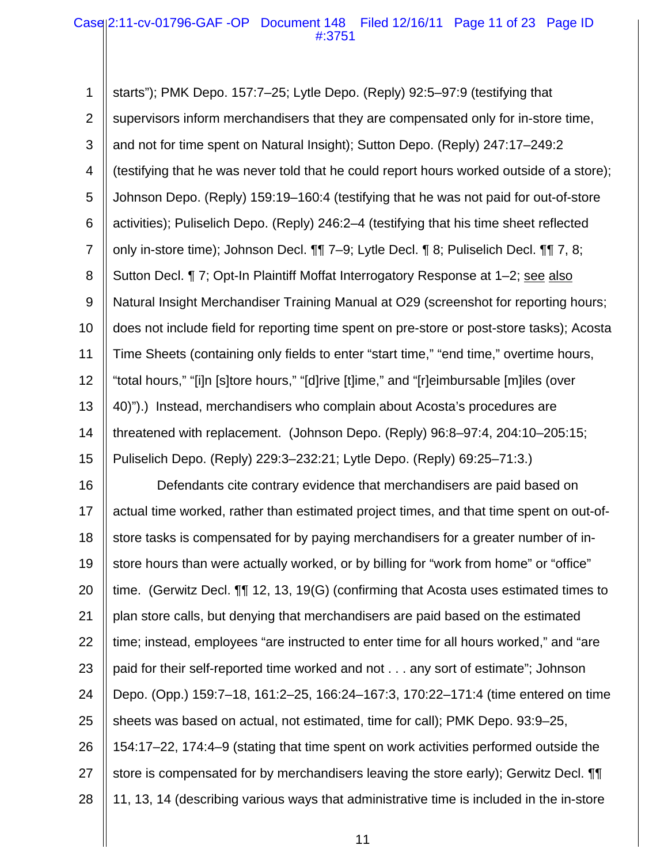## Case 2:11-cv-01796-GAF -OP Document 148 Filed 12/16/11 Page 11 of 23 Page ID #:3751

1 2 3 4 5 6 7 8 9 10 11 12 13 14 15 16 starts"); PMK Depo. 157:7–25; Lytle Depo. (Reply) 92:5–97:9 (testifying that supervisors inform merchandisers that they are compensated only for in-store time, and not for time spent on Natural Insight); Sutton Depo. (Reply) 247:17–249:2 (testifying that he was never told that he could report hours worked outside of a store); Johnson Depo. (Reply) 159:19–160:4 (testifying that he was not paid for out-of-store activities); Puliselich Depo. (Reply) 246:2–4 (testifying that his time sheet reflected only in-store time); Johnson Decl. ¶¶ 7–9; Lytle Decl. ¶ 8; Puliselich Decl. ¶¶ 7, 8; Sutton Decl. ¶ 7; Opt-In Plaintiff Moffat Interrogatory Response at 1–2; see also Natural Insight Merchandiser Training Manual at O29 (screenshot for reporting hours; does not include field for reporting time spent on pre-store or post-store tasks); Acosta Time Sheets (containing only fields to enter "start time," "end time," overtime hours, "total hours," "[i]n [s]tore hours," "[d]rive [t]ime," and "[r]eimbursable [m]iles (over 40)").) Instead, merchandisers who complain about Acosta's procedures are threatened with replacement. (Johnson Depo. (Reply) 96:8–97:4, 204:10–205:15; Puliselich Depo. (Reply) 229:3–232:21; Lytle Depo. (Reply) 69:25–71:3.) Defendants cite contrary evidence that merchandisers are paid based on

17 18 19 20 21 22 23 24 25 26 27 28 actual time worked, rather than estimated project times, and that time spent on out-ofstore tasks is compensated for by paying merchandisers for a greater number of instore hours than were actually worked, or by billing for "work from home" or "office" time. (Gerwitz Decl. ¶¶ 12, 13, 19(G) (confirming that Acosta uses estimated times to plan store calls, but denying that merchandisers are paid based on the estimated time; instead, employees "are instructed to enter time for all hours worked," and "are paid for their self-reported time worked and not . . . any sort of estimate"; Johnson Depo. (Opp.) 159:7–18, 161:2–25, 166:24–167:3, 170:22–171:4 (time entered on time sheets was based on actual, not estimated, time for call); PMK Depo. 93:9–25, 154:17–22, 174:4–9 (stating that time spent on work activities performed outside the store is compensated for by merchandisers leaving the store early); Gerwitz Decl. ¶¶ 11, 13, 14 (describing various ways that administrative time is included in the in-store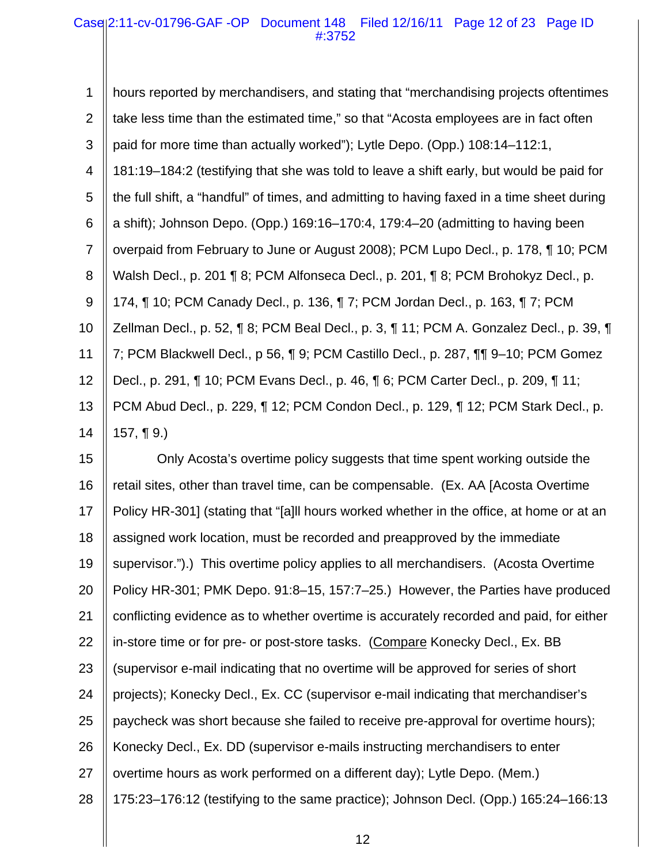1 2 3 4 5 6 7 8 9 10 11 12 13 14 hours reported by merchandisers, and stating that "merchandising projects oftentimes take less time than the estimated time," so that "Acosta employees are in fact often paid for more time than actually worked"); Lytle Depo. (Opp.) 108:14–112:1, 181:19–184:2 (testifying that she was told to leave a shift early, but would be paid for the full shift, a "handful" of times, and admitting to having faxed in a time sheet during a shift); Johnson Depo. (Opp.) 169:16–170:4, 179:4–20 (admitting to having been overpaid from February to June or August 2008); PCM Lupo Decl., p. 178, ¶ 10; PCM Walsh Decl., p. 201 ¶ 8; PCM Alfonseca Decl., p. 201, ¶ 8; PCM Brohokyz Decl., p. 174, ¶ 10; PCM Canady Decl., p. 136, ¶ 7; PCM Jordan Decl., p. 163, ¶ 7; PCM Zellman Decl., p. 52, ¶ 8; PCM Beal Decl., p. 3, ¶ 11; PCM A. Gonzalez Decl., p. 39, ¶ 7; PCM Blackwell Decl., p 56, ¶ 9; PCM Castillo Decl., p. 287, ¶¶ 9–10; PCM Gomez Decl., p. 291, ¶ 10; PCM Evans Decl., p. 46, ¶ 6; PCM Carter Decl., p. 209, ¶ 11; PCM Abud Decl., p. 229, ¶ 12; PCM Condon Decl., p. 129, ¶ 12; PCM Stark Decl., p. 157,  $\P(9)$ 

15 16 17 18 19 20 21 22 23 24 25 26 27 28 Only Acosta's overtime policy suggests that time spent working outside the retail sites, other than travel time, can be compensable. (Ex. AA [Acosta Overtime Policy HR-301] (stating that "[a]ll hours worked whether in the office, at home or at an assigned work location, must be recorded and preapproved by the immediate supervisor.").) This overtime policy applies to all merchandisers. (Acosta Overtime Policy HR-301; PMK Depo. 91:8–15, 157:7–25.) However, the Parties have produced conflicting evidence as to whether overtime is accurately recorded and paid, for either in-store time or for pre- or post-store tasks. (Compare Konecky Decl., Ex. BB (supervisor e-mail indicating that no overtime will be approved for series of short projects); Konecky Decl., Ex. CC (supervisor e-mail indicating that merchandiser's paycheck was short because she failed to receive pre-approval for overtime hours); Konecky Decl., Ex. DD (supervisor e-mails instructing merchandisers to enter overtime hours as work performed on a different day); Lytle Depo. (Mem.) 175:23–176:12 (testifying to the same practice); Johnson Decl. (Opp.) 165:24–166:13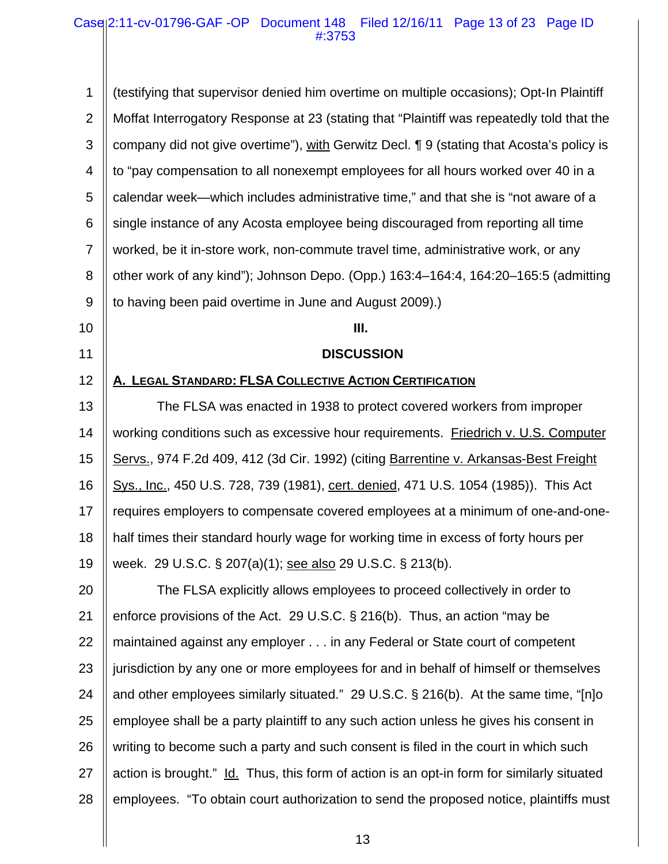1 2 3 4 5 6 7 8 9 10 11 12 13 14 15 16 17 18 19 20 21 22 23 24 25 26 27 28 (testifying that supervisor denied him overtime on multiple occasions); Opt-In Plaintiff Moffat Interrogatory Response at 23 (stating that "Plaintiff was repeatedly told that the company did not give overtime"), with Gerwitz Decl. ¶ 9 (stating that Acosta's policy is to "pay compensation to all nonexempt employees for all hours worked over 40 in a calendar week—which includes administrative time," and that she is "not aware of a single instance of any Acosta employee being discouraged from reporting all time worked, be it in-store work, non-commute travel time, administrative work, or any other work of any kind"); Johnson Depo. (Opp.) 163:4–164:4, 164:20–165:5 (admitting to having been paid overtime in June and August 2009).) **III. DISCUSSION A. LEGAL STANDARD: FLSA COLLECTIVE ACTION CERTIFICATION** The FLSA was enacted in 1938 to protect covered workers from improper working conditions such as excessive hour requirements. Friedrich v. U.S. Computer Servs., 974 F.2d 409, 412 (3d Cir. 1992) (citing Barrentine v. Arkansas-Best Freight Sys., Inc., 450 U.S. 728, 739 (1981), cert. denied, 471 U.S. 1054 (1985)). This Act requires employers to compensate covered employees at a minimum of one-and-onehalf times their standard hourly wage for working time in excess of forty hours per week. 29 U.S.C. § 207(a)(1); see also 29 U.S.C. § 213(b). The FLSA explicitly allows employees to proceed collectively in order to enforce provisions of the Act. 29 U.S.C. § 216(b). Thus, an action "may be maintained against any employer . . . in any Federal or State court of competent jurisdiction by any one or more employees for and in behalf of himself or themselves and other employees similarly situated." 29 U.S.C. § 216(b). At the same time, "[n]o employee shall be a party plaintiff to any such action unless he gives his consent in writing to become such a party and such consent is filed in the court in which such action is brought." Id. Thus, this form of action is an opt-in form for similarly situated employees. "To obtain court authorization to send the proposed notice, plaintiffs must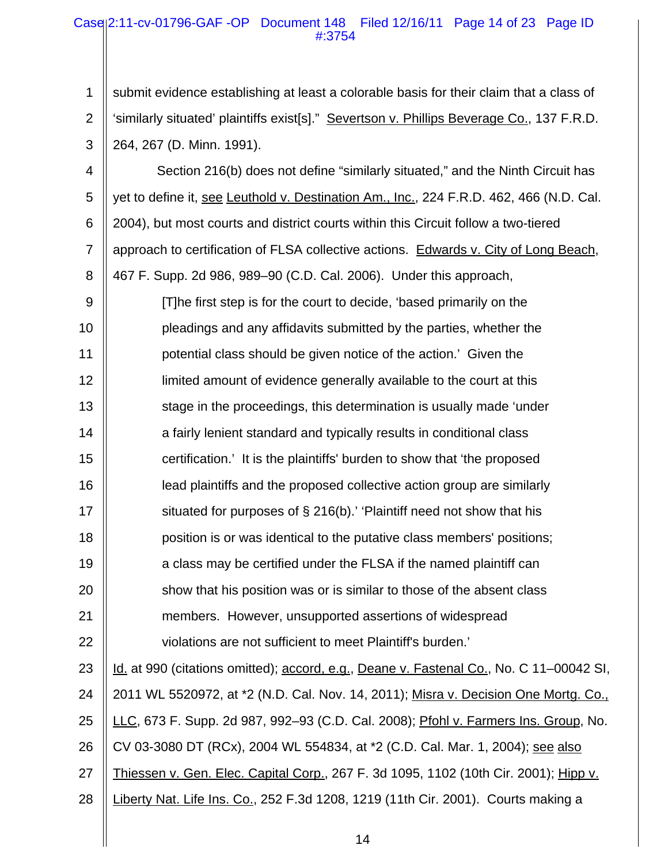## Case 2:11-cv-01796-GAF -OP Document 148 Filed 12/16/11 Page 14 of 23 Page ID #:3754

1 2 3 submit evidence establishing at least a colorable basis for their claim that a class of 'similarly situated' plaintiffs exist[s]." Severtson v. Phillips Beverage Co., 137 F.R.D. 264, 267 (D. Minn. 1991).

4 5 6 7 8 Section 216(b) does not define "similarly situated," and the Ninth Circuit has yet to define it, see Leuthold v. Destination Am., Inc., 224 F.R.D. 462, 466 (N.D. Cal. 2004), but most courts and district courts within this Circuit follow a two-tiered approach to certification of FLSA collective actions. Edwards v. City of Long Beach, 467 F. Supp. 2d 986, 989–90 (C.D. Cal. 2006). Under this approach,

9 10 11 12 13 14 15 16 17 18 19 20 21 22 23 [T]he first step is for the court to decide, 'based primarily on the pleadings and any affidavits submitted by the parties, whether the potential class should be given notice of the action.' Given the limited amount of evidence generally available to the court at this stage in the proceedings, this determination is usually made 'under a fairly lenient standard and typically results in conditional class certification.' It is the plaintiffs' burden to show that 'the proposed lead plaintiffs and the proposed collective action group are similarly situated for purposes of § 216(b).' 'Plaintiff need not show that his position is or was identical to the putative class members' positions; a class may be certified under the FLSA if the named plaintiff can show that his position was or is similar to those of the absent class members. However, unsupported assertions of widespread violations are not sufficient to meet Plaintiff's burden.' Id. at 990 (citations omitted); accord, e.g., Deane v. Fastenal Co., No. C 11-00042 SI,

24 25 26 27 2011 WL 5520972, at \*2 (N.D. Cal. Nov. 14, 2011); Misra v. Decision One Mortg. Co., LLC, 673 F. Supp. 2d 987, 992–93 (C.D. Cal. 2008); Pfohl v. Farmers Ins. Group, No. CV 03-3080 DT (RCx), 2004 WL 554834, at \*2 (C.D. Cal. Mar. 1, 2004); see also Thiessen v. Gen. Elec. Capital Corp., 267 F. 3d 1095, 1102 (10th Cir. 2001); Hipp v.

28 Liberty Nat. Life Ins. Co., 252 F.3d 1208, 1219 (11th Cir. 2001). Courts making a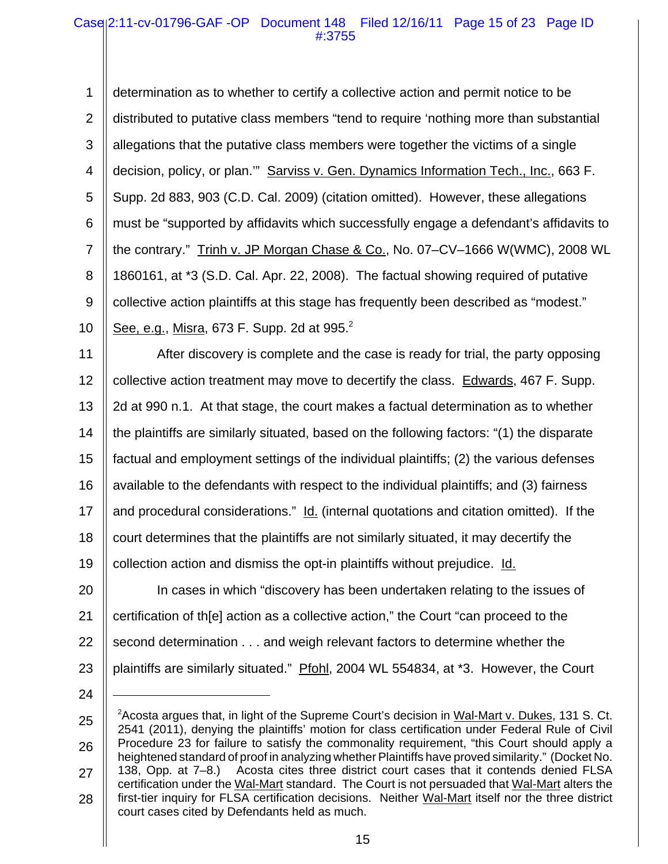1 2 3 4 5 6 7 8 9 10 determination as to whether to certify a collective action and permit notice to be distributed to putative class members "tend to require 'nothing more than substantial allegations that the putative class members were together the victims of a single decision, policy, or plan.'" Sarviss v. Gen. Dynamics Information Tech., Inc., 663 F. Supp. 2d 883, 903 (C.D. Cal. 2009) (citation omitted). However, these allegations must be "supported by affidavits which successfully engage a defendant's affidavits to the contrary." Trinh v. JP Morgan Chase & Co., No. 07–CV–1666 W(WMC), 2008 WL 1860161, at \*3 (S.D. Cal. Apr. 22, 2008). The factual showing required of putative collective action plaintiffs at this stage has frequently been described as "modest." See, e.g., Misra, 673 F. Supp. 2d at  $995.<sup>2</sup>$ 

11 12 13 14 15 16 17 18 19 20 After discovery is complete and the case is ready for trial, the party opposing collective action treatment may move to decertify the class. Edwards, 467 F. Supp. 2d at 990 n.1. At that stage, the court makes a factual determination as to whether the plaintiffs are similarly situated, based on the following factors: "(1) the disparate factual and employment settings of the individual plaintiffs; (2) the various defenses available to the defendants with respect to the individual plaintiffs; and (3) fairness and procedural considerations." Id. (internal quotations and citation omitted). If the court determines that the plaintiffs are not similarly situated, it may decertify the collection action and dismiss the opt-in plaintiffs without prejudice. Id.

21 22 23 In cases in which "discovery has been undertaken relating to the issues of certification of th[e] action as a collective action," the Court "can proceed to the second determination . . . and weigh relevant factors to determine whether the plaintiffs are similarly situated." Pfohl, 2004 WL 554834, at \*3. However, the Court

<sup>25</sup> 26 27 28 <sup>2</sup> Acosta argues that, in light of the Supreme Court's decision in Wal-Mart v. Dukes, 131 S. Ct. 2541 (2011), denying the plaintiffs' motion for class certification under Federal Rule of Civil Procedure 23 for failure to satisfy the commonality requirement, "this Court should apply a heightened standard of proof in analyzing whether Plaintiffs have proved similarity." (Docket No. 138, Opp. at 7–8.) Acosta cites three district court cases that it contends denied FLSA certification under the Wal-Mart standard. The Court is not persuaded that Wal-Mart alters the first-tier inquiry for FLSA certification decisions. Neither Wal-Mart itself nor the three district court cases cited by Defendants held as much.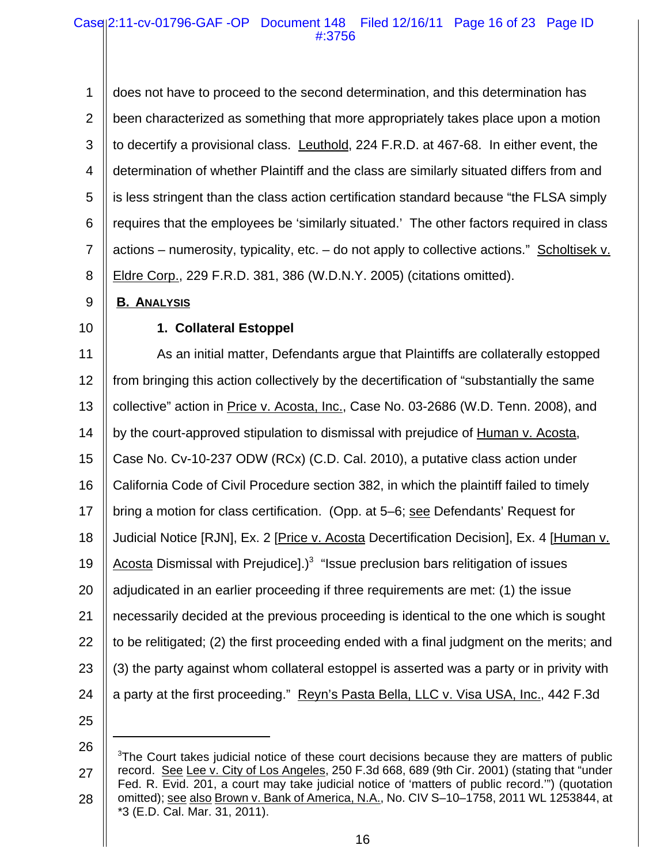1 2 3 4 5 6 7 8 does not have to proceed to the second determination, and this determination has been characterized as something that more appropriately takes place upon a motion to decertify a provisional class. Leuthold, 224 F.R.D. at 467-68. In either event, the determination of whether Plaintiff and the class are similarly situated differs from and is less stringent than the class action certification standard because "the FLSA simply requires that the employees be 'similarly situated.' The other factors required in class actions – numerosity, typicality, etc. – do not apply to collective actions." Scholtisek v. Eldre Corp., 229 F.R.D. 381, 386 (W.D.N.Y. 2005) (citations omitted).

#### 9 **B. ANALYSIS**

10

# **1. Collateral Estoppel**

11 12 13 14 15 16 17 18 19 20 21 22 23 24 25 As an initial matter, Defendants argue that Plaintiffs are collaterally estopped from bringing this action collectively by the decertification of "substantially the same collective" action in Price v. Acosta, Inc., Case No. 03-2686 (W.D. Tenn. 2008), and by the court-approved stipulation to dismissal with prejudice of Human v. Acosta, Case No. Cv-10-237 ODW (RCx) (C.D. Cal. 2010), a putative class action under California Code of Civil Procedure section 382, in which the plaintiff failed to timely bring a motion for class certification. (Opp. at 5–6; see Defendants' Request for Judicial Notice [RJN], Ex. 2 [Price v. Acosta Decertification Decision], Ex. 4 [Human v. Acosta Dismissal with Prejudice].)<sup>3</sup> "Issue preclusion bars relitigation of issues adjudicated in an earlier proceeding if three requirements are met: (1) the issue necessarily decided at the previous proceeding is identical to the one which is sought to be relitigated; (2) the first proceeding ended with a final judgment on the merits; and (3) the party against whom collateral estoppel is asserted was a party or in privity with a party at the first proceeding." Reyn's Pasta Bella, LLC v. Visa USA, Inc., 442 F.3d

<sup>27</sup> 28 <sup>3</sup>The Court takes judicial notice of these court decisions because they are matters of public record. See Lee v. City of Los Angeles, 250 F.3d 668, 689 (9th Cir. 2001) (stating that "under Fed. R. Evid. 201, a court may take judicial notice of 'matters of public record.'") (quotation omitted); see also Brown v. Bank of America, N.A., No. CIV S–10–1758, 2011 WL 1253844, at \*3 (E.D. Cal. Mar. 31, 2011).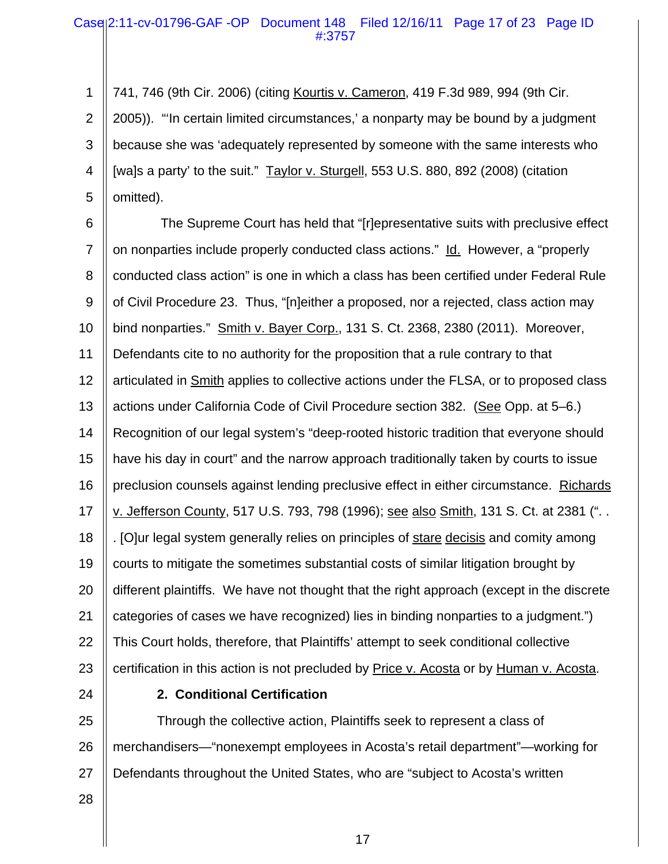## Case 2:11-cv-01796-GAF -OP Document 148 Filed 12/16/11 Page 17 of 23 Page ID #:3757

1 2 3 4 5 741, 746 (9th Cir. 2006) (citing Kourtis v. Cameron, 419 F.3d 989, 994 (9th Cir. 2005))."'In certain limited circumstances,' a nonparty may be bound by a judgment because she was 'adequately represented by someone with the same interests who [wa]s a party' to the suit." Taylor v. Sturgell, 553 U.S. 880, 892 (2008) (citation omitted).

6 7 8 9 10 11 12 13 14 15 16 17 18 19 20 21 22 23 The Supreme Court has held that "[r]epresentative suits with preclusive effect on nonparties include properly conducted class actions." Id. However, a "properly conducted class action" is one in which a class has been certified under Federal Rule of Civil Procedure 23. Thus, "[n]either a proposed, nor a rejected, class action may bind nonparties." Smith v. Bayer Corp., 131 S. Ct. 2368, 2380 (2011). Moreover, Defendants cite to no authority for the proposition that a rule contrary to that articulated in **Smith** applies to collective actions under the FLSA, or to proposed class actions under California Code of Civil Procedure section 382. (See Opp. at 5–6.) Recognition of our legal system's "deep-rooted historic tradition that everyone should have his day in court" and the narrow approach traditionally taken by courts to issue preclusion counsels against lending preclusive effect in either circumstance. Richards v. Jefferson County, 517 U.S. 793, 798 (1996); see also Smith, 131 S. Ct. at 2381 (". . . [O]ur legal system generally relies on principles of stare decisis and comity among courts to mitigate the sometimes substantial costs of similar litigation brought by different plaintiffs. We have not thought that the right approach (except in the discrete categories of cases we have recognized) lies in binding nonparties to a judgment.") This Court holds, therefore, that Plaintiffs' attempt to seek conditional collective certification in this action is not precluded by Price v. Acosta or by Human v. Acosta.

24

# **2. Conditional Certification**

25 26 27 Through the collective action, Plaintiffs seek to represent a class of merchandisers—"nonexempt employees in Acosta's retail department"—working for Defendants throughout the United States, who are "subject to Acosta's written

28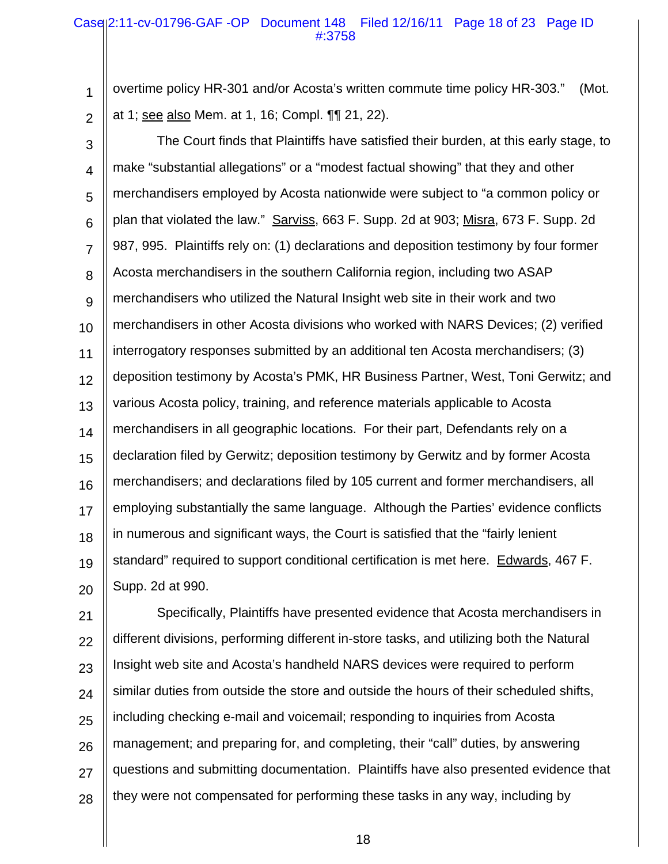## Case 2:11-cv-01796-GAF -OP Document 148 Filed 12/16/11 Page 18 of 23 Page ID #:3758

1 2 overtime policy HR-301 and/or Acosta's written commute time policy HR-303." (Mot. at 1; see also Mem. at 1, 16; Compl. ¶¶ 21, 22).

3 4 5 6 7 8 9 10 11 12 13 14 15 16 17 18 19 20 The Court finds that Plaintiffs have satisfied their burden, at this early stage, to make "substantial allegations" or a "modest factual showing" that they and other merchandisers employed by Acosta nationwide were subject to "a common policy or plan that violated the law." Sarviss, 663 F. Supp. 2d at 903; Misra, 673 F. Supp. 2d 987, 995. Plaintiffs rely on: (1) declarations and deposition testimony by four former Acosta merchandisers in the southern California region, including two ASAP merchandisers who utilized the Natural Insight web site in their work and two merchandisers in other Acosta divisions who worked with NARS Devices; (2) verified interrogatory responses submitted by an additional ten Acosta merchandisers; (3) deposition testimony by Acosta's PMK, HR Business Partner, West, Toni Gerwitz; and various Acosta policy, training, and reference materials applicable to Acosta merchandisers in all geographic locations. For their part, Defendants rely on a declaration filed by Gerwitz; deposition testimony by Gerwitz and by former Acosta merchandisers; and declarations filed by 105 current and former merchandisers, all employing substantially the same language. Although the Parties' evidence conflicts in numerous and significant ways, the Court is satisfied that the "fairly lenient standard" required to support conditional certification is met here. Edwards, 467 F. Supp. 2d at 990.

21 22 23 24 25 26 27 28 Specifically, Plaintiffs have presented evidence that Acosta merchandisers in different divisions, performing different in-store tasks, and utilizing both the Natural Insight web site and Acosta's handheld NARS devices were required to perform similar duties from outside the store and outside the hours of their scheduled shifts, including checking e-mail and voicemail; responding to inquiries from Acosta management; and preparing for, and completing, their "call" duties, by answering questions and submitting documentation. Plaintiffs have also presented evidence that they were not compensated for performing these tasks in any way, including by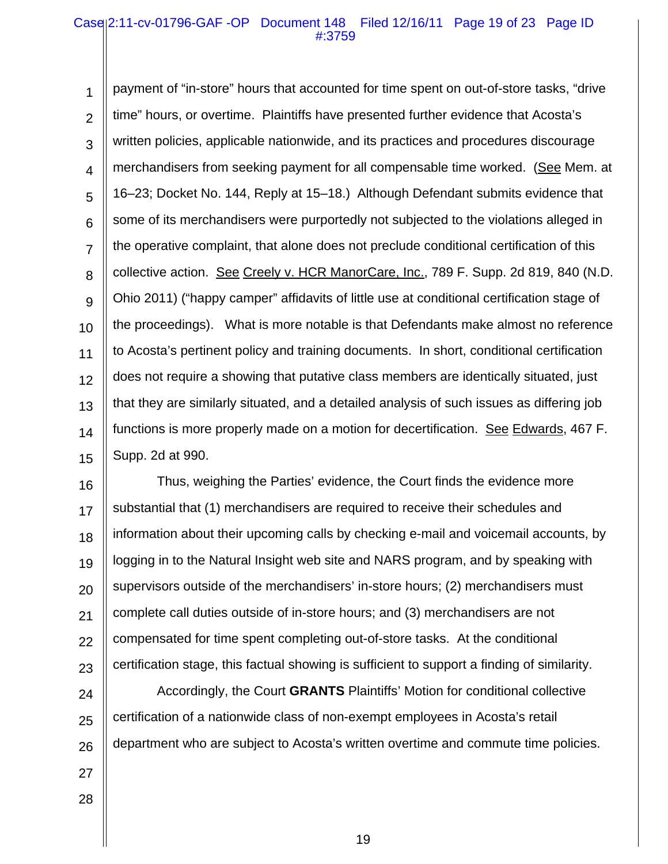## Case 2:11-cv-01796-GAF -OP Document 148 Filed 12/16/11 Page 19 of 23 Page ID #:3759

1 2 3 4 5 6 7 8 9 10 11 12 13 14 15 payment of "in-store" hours that accounted for time spent on out-of-store tasks, "drive time" hours, or overtime. Plaintiffs have presented further evidence that Acosta's written policies, applicable nationwide, and its practices and procedures discourage merchandisers from seeking payment for all compensable time worked. (See Mem. at 16–23; Docket No. 144, Reply at 15–18.) Although Defendant submits evidence that some of its merchandisers were purportedly not subjected to the violations alleged in the operative complaint, that alone does not preclude conditional certification of this collective action. See Creely v. HCR ManorCare, Inc., 789 F. Supp. 2d 819, 840 (N.D. Ohio 2011) ("happy camper" affidavits of little use at conditional certification stage of the proceedings). What is more notable is that Defendants make almost no reference to Acosta's pertinent policy and training documents. In short, conditional certification does not require a showing that putative class members are identically situated, just that they are similarly situated, and a detailed analysis of such issues as differing job functions is more properly made on a motion for decertification. See Edwards, 467 F. Supp. 2d at 990.

16 17 18 19 20 21 22 23 Thus, weighing the Parties' evidence, the Court finds the evidence more substantial that (1) merchandisers are required to receive their schedules and information about their upcoming calls by checking e-mail and voicemail accounts, by logging in to the Natural Insight web site and NARS program, and by speaking with supervisors outside of the merchandisers' in-store hours; (2) merchandisers must complete call duties outside of in-store hours; and (3) merchandisers are not compensated for time spent completing out-of-store tasks. At the conditional certification stage, this factual showing is sufficient to support a finding of similarity.

24 25 26 Accordingly, the Court **GRANTS** Plaintiffs' Motion for conditional collective certification of a nationwide class of non-exempt employees in Acosta's retail department who are subject to Acosta's written overtime and commute time policies.

- 27
- 28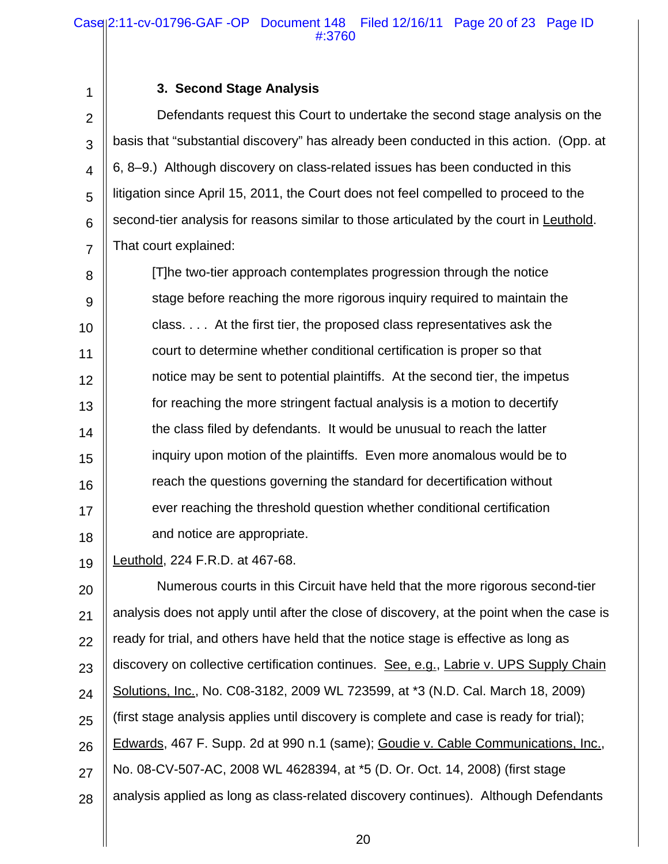|  |  |  | 3. Second Stage Analysis |
|--|--|--|--------------------------|
|--|--|--|--------------------------|

1

2 3 4 5 6 7 Defendants request this Court to undertake the second stage analysis on the basis that "substantial discovery" has already been conducted in this action. (Opp. at 6, 8–9.) Although discovery on class-related issues has been conducted in this litigation since April 15, 2011, the Court does not feel compelled to proceed to the second-tier analysis for reasons similar to those articulated by the court in Leuthold. That court explained:

8 9 10 11 12 13 14 15 16 17 18 [T]he two-tier approach contemplates progression through the notice stage before reaching the more rigorous inquiry required to maintain the class. . . . At the first tier, the proposed class representatives ask the court to determine whether conditional certification is proper so that notice may be sent to potential plaintiffs. At the second tier, the impetus for reaching the more stringent factual analysis is a motion to decertify the class filed by defendants. It would be unusual to reach the latter inquiry upon motion of the plaintiffs. Even more anomalous would be to reach the questions governing the standard for decertification without ever reaching the threshold question whether conditional certification and notice are appropriate.

19 Leuthold, 224 F.R.D. at 467-68.

20 21 22 23 24 25 26 27 28 Numerous courts in this Circuit have held that the more rigorous second-tier analysis does not apply until after the close of discovery, at the point when the case is ready for trial, and others have held that the notice stage is effective as long as discovery on collective certification continues. See, e.g., Labrie v. UPS Supply Chain Solutions, Inc., No. C08-3182, 2009 WL 723599, at \*3 (N.D. Cal. March 18, 2009) (first stage analysis applies until discovery is complete and case is ready for trial); Edwards, 467 F. Supp. 2d at 990 n.1 (same); Goudie v. Cable Communications, Inc., No. 08-CV-507-AC, 2008 WL 4628394, at \*5 (D. Or. Oct. 14, 2008) (first stage analysis applied as long as class-related discovery continues). Although Defendants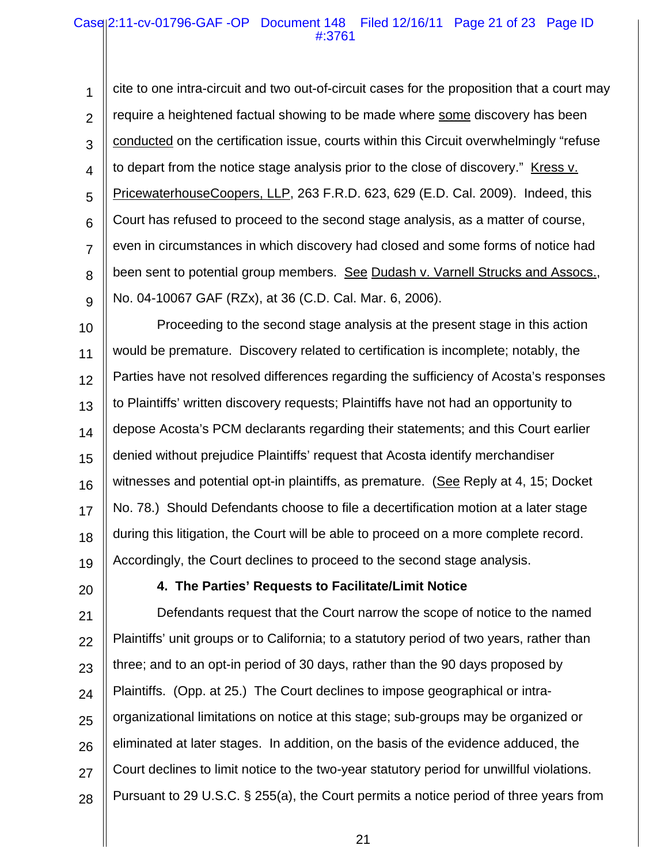## Case 2:11-cv-01796-GAF -OP Document 148 Filed 12/16/11 Page 21 of 23 Page ID #:3761

1 2 3 4 5 6 7 8 9 cite to one intra-circuit and two out-of-circuit cases for the proposition that a court may require a heightened factual showing to be made where some discovery has been conducted on the certification issue, courts within this Circuit overwhelmingly "refuse to depart from the notice stage analysis prior to the close of discovery." Kress v. PricewaterhouseCoopers, LLP, 263 F.R.D. 623, 629 (E.D. Cal. 2009). Indeed, this Court has refused to proceed to the second stage analysis, as a matter of course, even in circumstances in which discovery had closed and some forms of notice had been sent to potential group members. See Dudash v. Varnell Strucks and Assocs., No. 04-10067 GAF (RZx), at 36 (C.D. Cal. Mar. 6, 2006).

10 11 12 13 14 15 16 17 18 19 Proceeding to the second stage analysis at the present stage in this action would be premature. Discovery related to certification is incomplete; notably, the Parties have not resolved differences regarding the sufficiency of Acosta's responses to Plaintiffs' written discovery requests; Plaintiffs have not had an opportunity to depose Acosta's PCM declarants regarding their statements; and this Court earlier denied without prejudice Plaintiffs' request that Acosta identify merchandiser witnesses and potential opt-in plaintiffs, as premature. (See Reply at 4, 15; Docket No. 78.) Should Defendants choose to file a decertification motion at a later stage during this litigation, the Court will be able to proceed on a more complete record. Accordingly, the Court declines to proceed to the second stage analysis.

20

# **4. The Parties' Requests to Facilitate/Limit Notice**

21 22 23 24 25 26 27 28 Defendants request that the Court narrow the scope of notice to the named Plaintiffs' unit groups or to California; to a statutory period of two years, rather than three; and to an opt-in period of 30 days, rather than the 90 days proposed by Plaintiffs. (Opp. at 25.) The Court declines to impose geographical or intraorganizational limitations on notice at this stage; sub-groups may be organized or eliminated at later stages. In addition, on the basis of the evidence adduced, the Court declines to limit notice to the two-year statutory period for unwillful violations. Pursuant to 29 U.S.C. § 255(a), the Court permits a notice period of three years from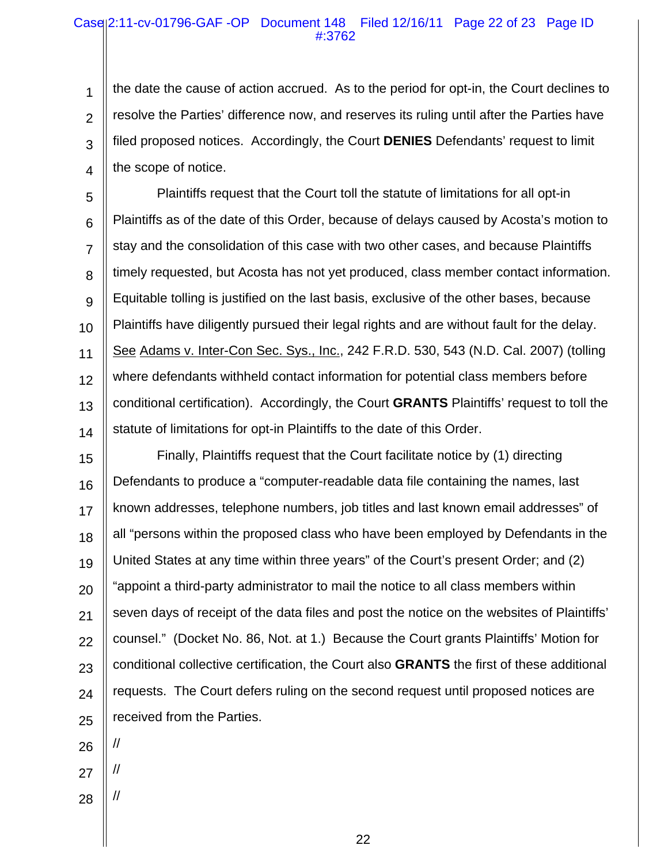## Case 2:11-cv-01796-GAF -OP Document 148 Filed 12/16/11 Page 22 of 23 Page ID #:3762

1 2 3 4 the date the cause of action accrued. As to the period for opt-in, the Court declines to resolve the Parties' difference now, and reserves its ruling until after the Parties have filed proposed notices. Accordingly, the Court **DENIES** Defendants' request to limit the scope of notice.

5 6 7 8 9 10 11 12 13 14 Plaintiffs request that the Court toll the statute of limitations for all opt-in Plaintiffs as of the date of this Order, because of delays caused by Acosta's motion to stay and the consolidation of this case with two other cases, and because Plaintiffs timely requested, but Acosta has not yet produced, class member contact information. Equitable tolling is justified on the last basis, exclusive of the other bases, because Plaintiffs have diligently pursued their legal rights and are without fault for the delay. See Adams v. Inter-Con Sec. Sys., Inc., 242 F.R.D. 530, 543 (N.D. Cal. 2007) (tolling where defendants withheld contact information for potential class members before conditional certification). Accordingly, the Court **GRANTS** Plaintiffs' request to toll the statute of limitations for opt-in Plaintiffs to the date of this Order.

15 16 17 18 19 20 21 22 23 24 25 Finally, Plaintiffs request that the Court facilitate notice by (1) directing Defendants to produce a "computer-readable data file containing the names, last known addresses, telephone numbers, job titles and last known email addresses" of all "persons within the proposed class who have been employed by Defendants in the United States at any time within three years" of the Court's present Order; and (2) "appoint a third-party administrator to mail the notice to all class members within seven days of receipt of the data files and post the notice on the websites of Plaintiffs' counsel." (Docket No. 86, Not. at 1.) Because the Court grants Plaintiffs' Motion for conditional collective certification, the Court also **GRANTS** the first of these additional requests. The Court defers ruling on the second request until proposed notices are received from the Parties.

26

//

//

//

27